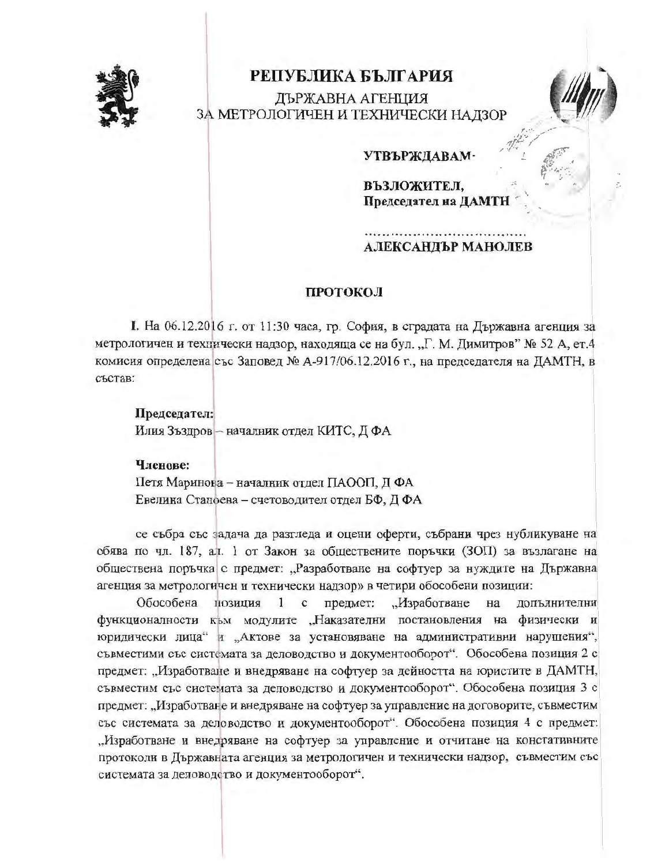

# РЕПУБЛИКА БЪЛГАРИЯ

ДЪРЖАВНА АГЕНЦИЯ ЗА МЕТРОЛОГИЧЕН И ТЕХНИЧЕСКИ НАДЗОР



# **УТВЪРЖДАВАМ**

ВЪЗЛОЖИТЕЛ, Председател на ДАМТН

# АЛЕКСАНДЪР МАНОЛЕВ

# ПРОТОКОЛ

I. На 06.12.2016 г. от 11:30 часа, гр. София, в сградата на Държавна агенция за метрологичен и технически надзор, находяща се на бул. "Г. М. Димитров" № 52 А, ет.4 комисия определена със Заповед № А-917/06.12.2016 г., на председателя на ДАМТН, в състав:

### Председател:

Илия Зъздров - началник отдел КИТС, Д ФА

#### Членове:

Петя Маринова - началник отдел ПАООП, Д ФА Евелина Станоева - счетоводител отдел БФ, ДФА

се събра със задача да разгледа и оцени оферти, събрани чрез нубликуване на обява по чл. 187, ал. 1 от Закон за обществените поръчки (ЗОП) за възлагане на обществена поръчка с предмет: "Разработване на софтуер за нуждите на Държавна агенция за метрологичен и технически надзор» в четири обособени позиции:

Обособена позиция  $\mathbf{1}$  $\mathbf{c}$ предмет: "Изработване на лопълнителни функционалности към модулите "Наказателни постановления на физически и юридически лица" и "Актове за установяване на административни нарушения", съвместими със системата за деловодство и документооборот". Обособена позиция 2 с предмет: "Изработване и внедряване на софтуер за дейността на юристите в ДАМТН, съвместим със системата за деловодство и документооборот". Обособена позиция 3 с предмет: "Изработване и внедряване на софтуер за управление на договорите, съвместим със системата за деловодство и документооборот". Обособена позиция 4 с предмет: "Изработване и внедряване на софтуер за управление и отчитане на констативните протоколи в Държавната агенция за метрологичен и технически надзор, съвместим със системата за деловодство и документооборот".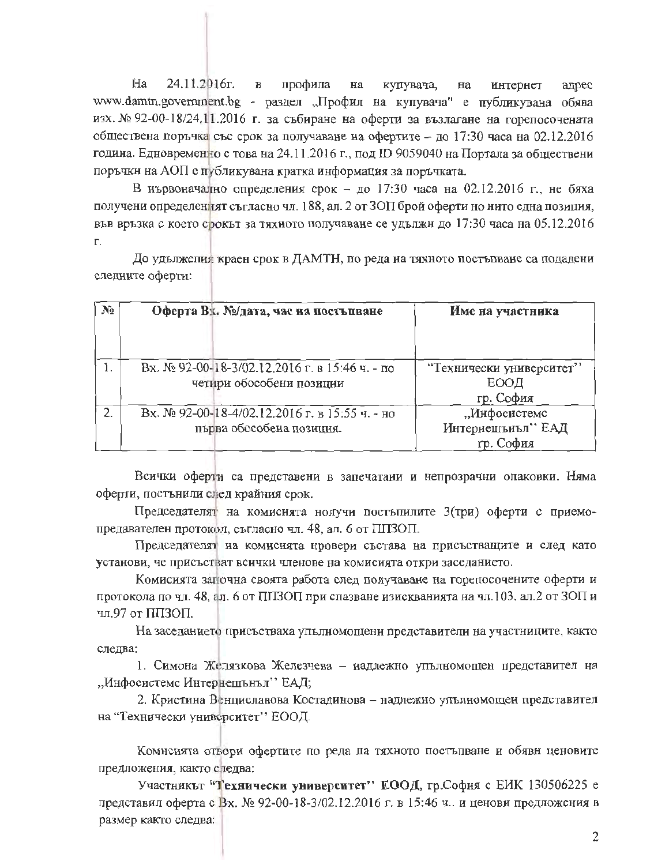$Ha$ 24.11.2016r.  $\mathbf{B}$ профила  $_{\rm Ha}$ купувача, на интернет адрес www.damtn.government.bg - раздел "Профил на купувача" е публикувана обява изх. № 92-00-18/24.11.2016 г. за събиране на оферти за възлагане на горепосочената обществена поръчка със срок за получаване на офертите – до 17:30 часа на 02.12.2016 година. Едновременно с това на 24.11.2016 г., под ID 9059040 на Портала за обществени поръчки на АОП е публикувана кратка информация за поръчката.

В нървоначално определения срок - до 17:30 часа на 02.12.2016 г., не бяха получени определеният съгласно чл. 188, ал. 2 от ЗОП брой оферти но нито една позиция, във връзка с което срокът за тяхното получаване се удължн до 17:30 часа на 05.12.2016  $\Gamma$ .

До удължения краен срок в ДАМТН, по реда на тяхното постъпване са подадени следните оферти:

| Nº.              | Оферта Вх. №/дата, час на постъпване                                       | Име на участника                               |  |  |  |
|------------------|----------------------------------------------------------------------------|------------------------------------------------|--|--|--|
|                  | Вх. № 92-00-18-3/02.12.2016 г. в 15:46 ч. - по<br>четири обособени позиции | "Технически университет"<br>ЕООД<br>гр. София  |  |  |  |
| $\overline{2}$ . | Вх. № 92-00-18-4/02.12.2016 г. в 15:55 ч. - но<br>първа обособена позиция. | "Инфосистемс<br>Интернешънъл" ЕАД<br>гр. София |  |  |  |

Всички оферти са представени в запечатани и непрозрачни опаковки. Няма оферти, постънили след крайния срок.

Председателят на комисията нолучи постышлите 3(три) оферти с приемопредавателен протокол, съгласно чл. 48, ал. 6 от ППЗОП.

Председателят на комисията нровери състава на присъстващите и след като установи, че присъстват всички членове на комисията откри заседанието.

Комисията започна своята работа след получаване на горепосочените оферти и протокола по чл. 48, ал. 6 от ППЗОП при спазване изискванията на чл.103, ал.2 от ЗОП и чл.97 от ППЗОП.

На заседанието присъстваха упълномощени представители на участниците, както следва:

1. Симона Желязкова Железчева - иадлежно упълномощен представител на "Инфосистемс Интернешънъл" ЕАД;

2. Кристина Венциславова Костадинова - надлежно упълномощеи представител на "Технически университет" ЕООД.

Комнсията отвори офертите по реда па тяхното постъпване и обявн ценовите предложения, както следва:

Участникът "Технически университет" ЕООД, гр. София с ЕИК 130506225 е представил оферта с Вх. № 92-00-18-3/02.12.2016 г. в 15:46 ч. и ценови предложения в размер както следва: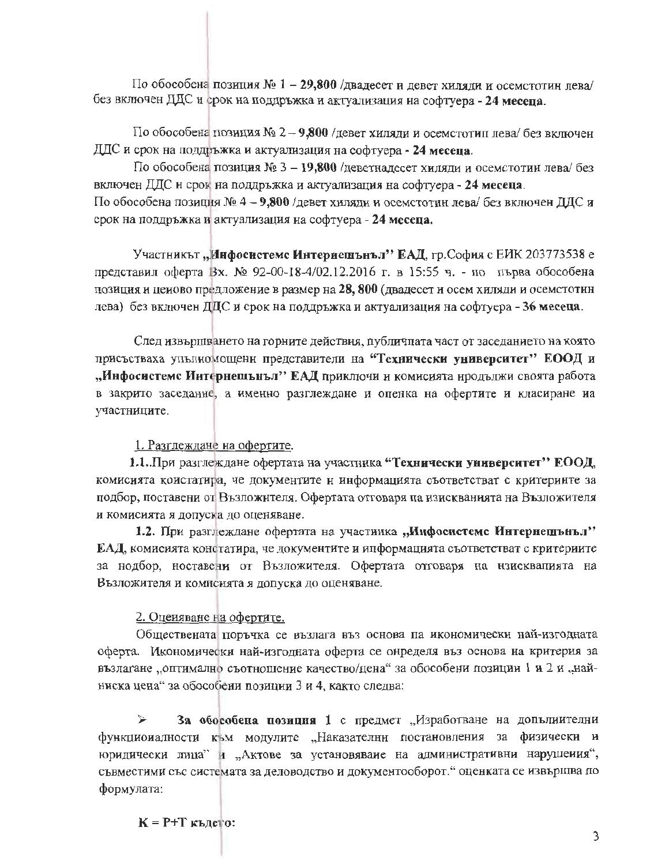По обособена позиция № 1 - 29,800 /двадесет и девет хиляди и осемстотин лева/ без включен ДДС и срок на поддръжка и актуализация на софтуера - 24 месеца.

По обособена позиция № 2 - 9,800 /девет хиляди и осемстотип лева/ без включен ДДС и срок на поддръжка и актуализация на софтуера - 24 месеца.

По обособена позиция № 3 - 19,800 /деветнадесет хиляди и осемстотин лева/ без включен ДДС и срок на поддръжка и актуализация на софтуера - 24 месеца. По обособена позиция № 4 - 9,800 /девет хиляди и осемстотин лева/ без включен ДДС и срок на поддръжка и актуализация на софтуера - 24 месеца.

Участникът "Инфосистемс Интернешънъл" ЕАД, гр. София с ЕИК 203773538 е представил оферта Вх. № 92-00-18-4/02.12.2016 г. в 15:55 ч. - по първа обособена позиция и ценово предложение в размер на 28, 800 (двадесет и осем хиляди и осемстотнн лева) без включен ДДС и срок на поддръжка и актуализация на софтуера - 36 месеца.

След извършването на горните действия, публичната част от заседанието на която присъстваха упълномощени представители на "Технически университет" ЕООД и "Инфосистемс Интернешънъл" ЕАД приключи и комисията нродължи своята работа в закрито заседание, а именно разглеждане и опенка на офертите и класиране на участниците.

1. Разглеждане на офертите.

1.1. При разглеждане офертата на участника "Технически университет" ЕООД, комисията коистатира, че документите и информацията съответстват с критеринте за подбор, поставени от Възложителя. Офертата отговаря па изискванията на Възложителя и комисията я допуска до оценяване.

1.2. При разглеждане офертата на участиика "Инфосистемс Интернешънъл" ЕАД, комисията констатира, че документите и ипформацията съответстват с критериите за нодбор, ноставени от Възложителя. Офертата отговаря на нзисквапията на Възложителя и комиснята я допуска до оценяване.

2. Оцеияване на офертите.

Обществената поръчка се възлага въз основа па икономически най-изгодната оферта. Икономически най-изгодната оферта се онределя въз основа на критерия за възлагане "оптимално съотношение качество/цена" за обособени позиции 1 и 2 и "найниска цена" за обособени позиции 3 и 4, както следва:

За обособена позиция 1 с предмет "Изработване на допълиителни ↘ функциоиалности към модулите "Наказателни постановления за физически и юридически лица" и "Актове за установяване на административни нарушения", съвместими със системата за деловодство и документооборот." оценката се извършва по формулата:

 $K = P + T$   $\kappa$ *bnerg:*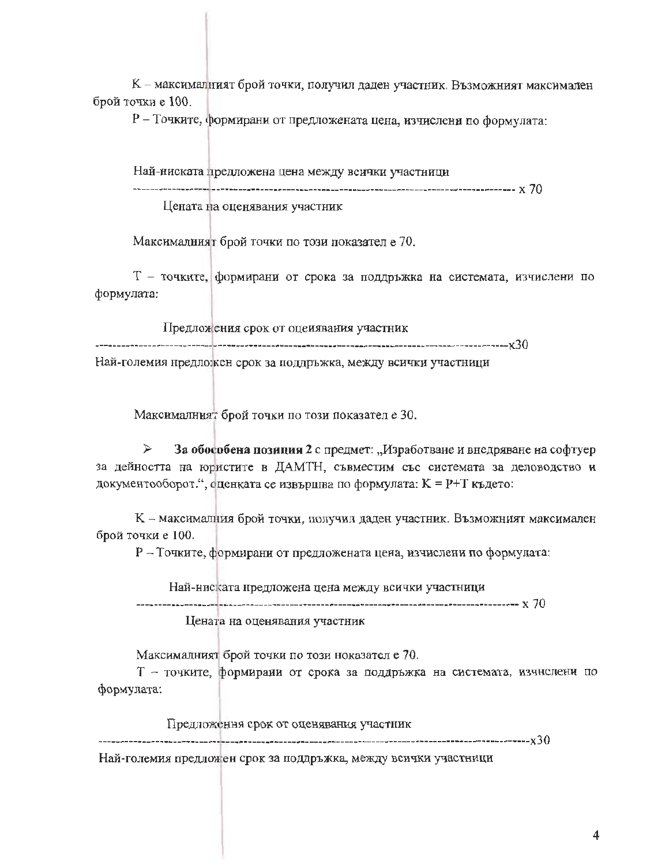К - максималният брой точки, получил даден участник. Възможният максимален брой точки е 100.

Р - Точките, формирани от предложената цена, изчислени по формулата:

Най-ниската предложена цена между всички участници Цената на оценявания участник

Максималният брой точки по този показател е 70.

Т - точките, формирани от срока за поддръжка на системата, изчислени по формулата:

Предложения срок от оцеиявания участник Най-големия нредложен срок за поддръжка, между всички участници

Максималният брой точки по този показател е 30.

≯ За обособена позиция 2 с предмет: "Изработване и внедряване на софтуер за дейността на юристите в ДАМТН, съвместим със системата за деловодство и документооборот.", оценката се извършва по формулата: К = P+Т където:

К - максималния брой точки, получил даден участник. Възможният максимален брой точки е 100.

Р - Точките, формирани от предложената цена, изчислени по формулата:

Най-ниската нредложена цена между всички участници

Цената на оценявания участник

Максималният брой точки по този ноказател е 70.

Т - точките, формирани от срока за поддръжка на системата, изчислени по формулата:

Предложения срок от оценявания участник

Най-големия предложен срок за поддръжка, между всички участници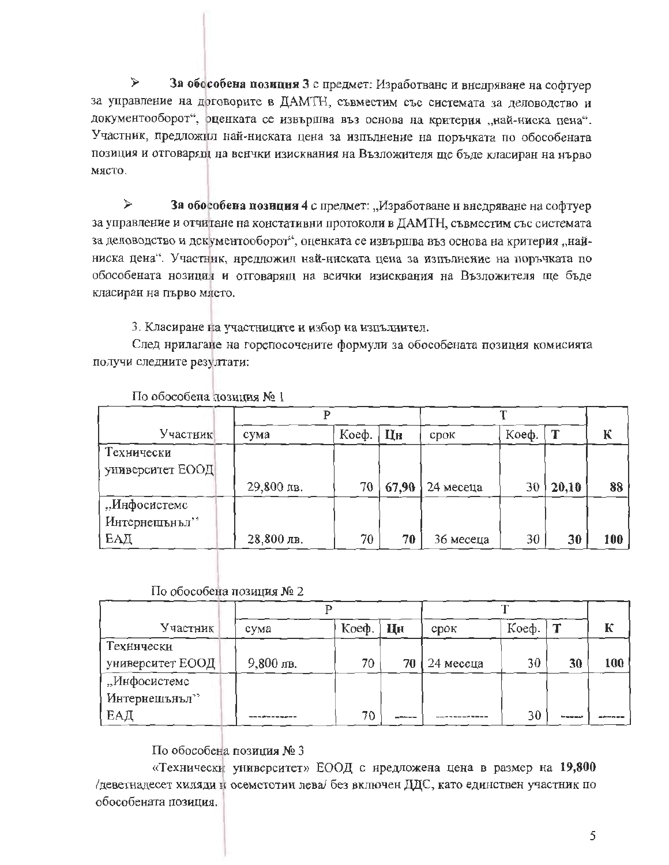$\prec$ За обособена позиция 3 с предмет: Изработване и внедряване на софтуер за управление на договорите в ДАМТН, съвместим със системата за деловодство и документооборот", оценката се извършва въз основа на критерия "най-ниска пена". Участник, предложил най-ниската цена за изпълнение на поръчката по обособената позиция и отговарящ на вснчки изисквания на Възложителя ше бъде класиран на нърво място.

 $\blacktriangleright$ За обособена позиция 4 с предмет: "Изработване и внедряване на софтуер за управление и отчитане на констативни протоколи в ДАМТН, съвместим със системата за деловодство и документооборот", оценката се извършва въз основа на критерия "найниска цена". Участник, нредложил най-ниската цена за изпълнение на поръчката по обособената нозиция и отговарящ на всички изисквания на Възложителя ще бъде класиран на първо място.

3. Класиране на участниците и избор на изпълнител.

След нрилагане на горепосочените формули за обособената позиция комисията получи следните резултати:

| Участник         | сума         | Коеф. | Цн    | CDOK      | Коеф. |       | К     |
|------------------|--------------|-------|-------|-----------|-------|-------|-------|
| Технически       |              |       |       |           |       |       |       |
| университет ЕООД |              |       |       |           |       |       |       |
|                  | 29,800 лв.   | 70    | 67,90 | 24 месеца | 30    | 20,10 | 88    |
| "Инфосистемс     |              |       |       |           |       |       |       |
| Интернешънъл"    |              |       |       |           |       |       |       |
| ЕАД              | $28,800$ лв. | 70    | 70    | 36 месеца | 30    | 30    | 100 J |

По обособела позиция № 1

# По обособена позиция № 2

| Участник         | сума      | Коеф. | Цн     | срок      | Коеф. |    | К   |
|------------------|-----------|-------|--------|-----------|-------|----|-----|
| Технически       |           |       |        |           |       |    |     |
| университет ЕООД | 9,800 лв. | 70.   | 70     | 24 месеца | 30    | 30 | 100 |
| "Инфосистемс     |           |       |        |           |       |    |     |
| Интернешънъл"    |           |       |        |           |       |    |     |
| ЕАД              |           | 70    | ------ |           | 30    |    |     |

По обособена позиция № 3

«Технически университет» ЕООД с нредложена цена в размер на 19,800 деветнадесет хиляди и осемстотин лева/ без включен ДДС, като единствен участник по обособената позиция.